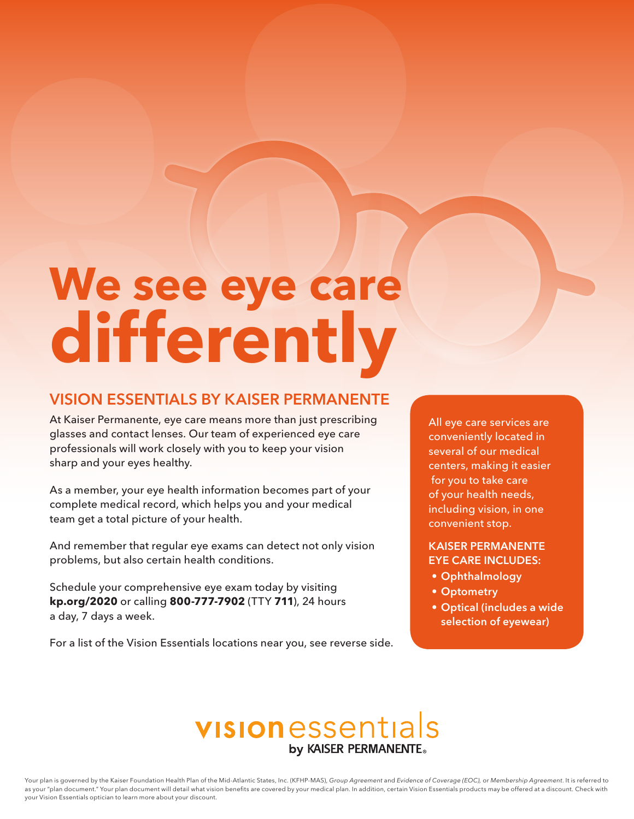# **We see eye care differently**

# VISION ESSENTIALS BY KAISER PERMANENTE

At Kaiser Permanente, eye care means more than just prescribing glasses and contact lenses. Our team of experienced eye care professionals will work closely with you to keep your vision sharp and your eyes healthy.

As a member, your eye health information becomes part of your complete medical record, which helps you and your medical team get a total picture of your health.

And remember that regular eye exams can detect not only vision problems, but also certain health conditions.

Schedule your comprehensive eye exam today by visiting **kp.org/2020** or calling **800-777-7902** (TTY **711**), 24 hours a day, 7 days a week.

For a list of the Vision Essentials locations near you, see reverse side.

All eye care services are conveniently located in several of our medical centers, making it easier for you to take care of your health needs, including vision, in one convenient stop.

# KAISER PERMANENTE EYE CARE INCLUDES:

- Ophthalmology
- Optometry
- Optical (includes a wide selection of eyewear)

# visionessentials by KAISER PERMANENTE.

Your plan is governed by the Kaiser Foundation Health Plan of the Mid-Atlantic States, Inc. (KFHP-MAS), Group Agreement and Evidence of Coverage (EOC), or Membership Agreement. It is referred to as your "plan document." Your plan document will detail what vision benefits are covered by your medical plan. In addition, certain Vision Essentials products may be offered at a discount. Check with your Vision Essentials optician to learn more about your discount.